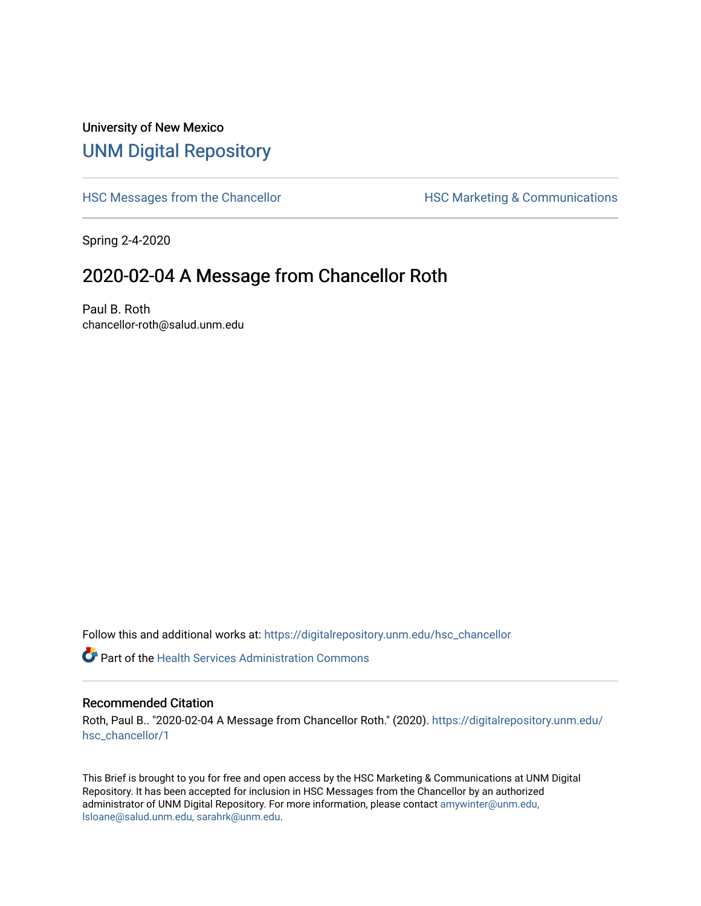## University of New Mexico [UNM Digital Repository](https://digitalrepository.unm.edu/)

[HSC Messages from the Chancellor](https://digitalrepository.unm.edu/hsc_chancellor) **HSC Marketing & Communications** 

Spring 2-4-2020

## 2020-02-04 A Message from Chancellor Roth

Paul B. Roth chancellor-roth@salud.unm.edu

Follow this and additional works at: [https://digitalrepository.unm.edu/hsc\\_chancellor](https://digitalrepository.unm.edu/hsc_chancellor?utm_source=digitalrepository.unm.edu%2Fhsc_chancellor%2F1&utm_medium=PDF&utm_campaign=PDFCoverPages) 

**C** Part of the Health Services Administration Commons

## Recommended Citation

Roth, Paul B.. "2020-02-04 A Message from Chancellor Roth." (2020). [https://digitalrepository.unm.edu/](https://digitalrepository.unm.edu/hsc_chancellor/1?utm_source=digitalrepository.unm.edu%2Fhsc_chancellor%2F1&utm_medium=PDF&utm_campaign=PDFCoverPages) [hsc\\_chancellor/1](https://digitalrepository.unm.edu/hsc_chancellor/1?utm_source=digitalrepository.unm.edu%2Fhsc_chancellor%2F1&utm_medium=PDF&utm_campaign=PDFCoverPages)

This Brief is brought to you for free and open access by the HSC Marketing & Communications at UNM Digital Repository. It has been accepted for inclusion in HSC Messages from the Chancellor by an authorized administrator of UNM Digital Repository. For more information, please contact [amywinter@unm.edu,](mailto:amywinter@unm.edu,%20lsloane@salud.unm.edu,%20sarahrk@unm.edu) [lsloane@salud.unm.edu, sarahrk@unm.edu.](mailto:amywinter@unm.edu,%20lsloane@salud.unm.edu,%20sarahrk@unm.edu)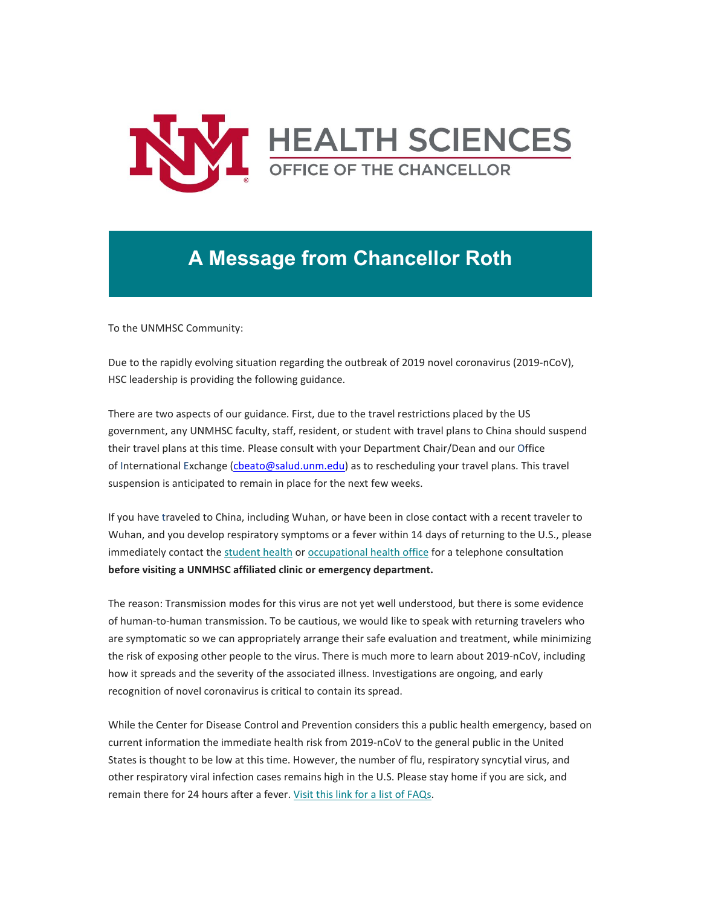

## **A Message from Chancellor Roth**

To the UNMHSC Community:

Due to the rapidly evolving situation regarding the outbreak of 2019 novel coronavirus (2019-nCoV), HSC leadership is providing the following guidance.

There are two aspects of our guidance. First, due to the travel restrictions placed by the US government, any UNMHSC faculty, staff, resident, or student with travel plans to China should suspend their travel plans at this time. Please consult with your Department Chair/Dean and our Office of International Exchange [\(cbeato@salud.unm.edu\)](mailto:cbeato@salud.unm.edu) as to rescheduling your travel plans. This travel suspension is anticipated to remain in place for the next few weeks.

If you have traveled to China, including Wuhan, or have been in close contact with a recent traveler to Wuhan, and you develop respiratory symptoms or a fever within 14 days of returning to the U.S., please immediately contact the [student health](https://unm.us19.list-manage.com/track/click?u=59ce53c1a4dedb490bac78648&id=65868e7a67&e=b4bbfca2c0) or [occupational health office](https://unm.us19.list-manage.com/track/click?u=59ce53c1a4dedb490bac78648&id=ef5371b428&e=b4bbfca2c0) for a telephone consultation **before visiting a UNMHSC affiliated clinic or emergency department.**

The reason: Transmission modes for this virus are not yet well understood, but there is some evidence of human-to-human transmission. To be cautious, we would like to speak with returning travelers who are symptomatic so we can appropriately arrange their safe evaluation and treatment, while minimizing the risk of exposing other people to the virus. There is much more to learn about 2019-nCoV, including how it spreads and the severity of the associated illness. Investigations are ongoing, and early recognition of novel coronavirus is critical to contain its spread.

While the Center for Disease Control and Prevention considers this a public health emergency, based on current information the immediate health risk from 2019-nCoV to the general public in the United States is thought to be low at this time. However, the number of flu, respiratory syncytial virus, and other respiratory viral infection cases remains high in the U.S. Please stay home if you are sick, and remain there for 24 hours after a fever. [Visit this link for a list of FAQs.](https://unm.us19.list-manage.com/track/click?u=59ce53c1a4dedb490bac78648&id=9e3816ba91&e=b4bbfca2c0)